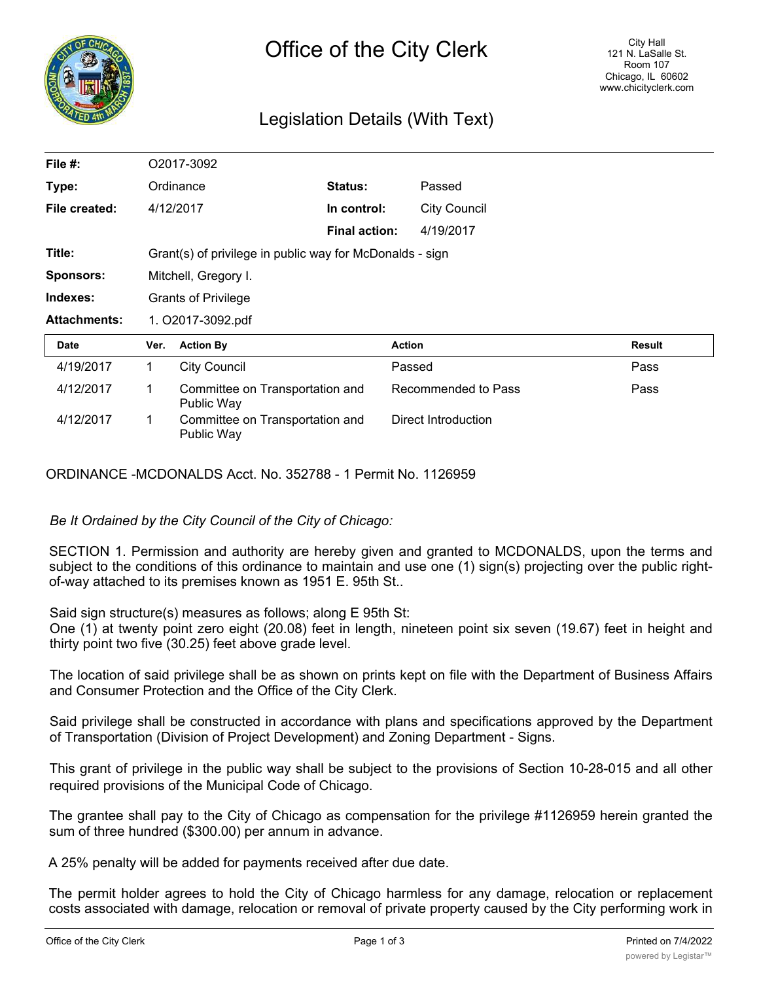

# Legislation Details (With Text)

| File #:             |                                                          | O2017-3092                                    |                      |                     |               |  |
|---------------------|----------------------------------------------------------|-----------------------------------------------|----------------------|---------------------|---------------|--|
| Type:               |                                                          | Ordinance                                     | <b>Status:</b>       | Passed              |               |  |
| File created:       |                                                          | 4/12/2017                                     | In control:          | <b>City Council</b> |               |  |
|                     |                                                          |                                               | <b>Final action:</b> | 4/19/2017           |               |  |
| Title:              | Grant(s) of privilege in public way for McDonalds - sign |                                               |                      |                     |               |  |
| <b>Sponsors:</b>    | Mitchell, Gregory I.                                     |                                               |                      |                     |               |  |
|                     |                                                          | <b>Grants of Privilege</b>                    |                      |                     |               |  |
| Indexes:            |                                                          |                                               |                      |                     |               |  |
| <b>Attachments:</b> |                                                          | 1. O2017-3092.pdf                             |                      |                     |               |  |
| <b>Date</b>         | Ver.                                                     | <b>Action By</b>                              |                      | <b>Action</b>       | <b>Result</b> |  |
| 4/19/2017           | 1                                                        | <b>City Council</b>                           |                      | Passed              | Pass          |  |
| 4/12/2017           | 1                                                        | Committee on Transportation and<br>Public Way |                      | Recommended to Pass | Pass          |  |

ORDINANCE -MCDONALDS Acct. No. 352788 - 1 Permit No. 1126959

*Be It Ordained by the City Council of the City of Chicago:*

SECTION 1. Permission and authority are hereby given and granted to MCDONALDS, upon the terms and subject to the conditions of this ordinance to maintain and use one (1) sign(s) projecting over the public rightof-way attached to its premises known as 1951 E. 95th St..

Said sign structure(s) measures as follows; along E 95th St:

One (1) at twenty point zero eight (20.08) feet in length, nineteen point six seven (19.67) feet in height and thirty point two five (30.25) feet above grade level.

The location of said privilege shall be as shown on prints kept on file with the Department of Business Affairs and Consumer Protection and the Office of the City Clerk.

Said privilege shall be constructed in accordance with plans and specifications approved by the Department of Transportation (Division of Project Development) and Zoning Department - Signs.

This grant of privilege in the public way shall be subject to the provisions of Section 10-28-015 and all other required provisions of the Municipal Code of Chicago.

The grantee shall pay to the City of Chicago as compensation for the privilege #1126959 herein granted the sum of three hundred (\$300.00) per annum in advance.

A 25% penalty will be added for payments received after due date.

The permit holder agrees to hold the City of Chicago harmless for any damage, relocation or replacement costs associated with damage, relocation or removal of private property caused by the City performing work in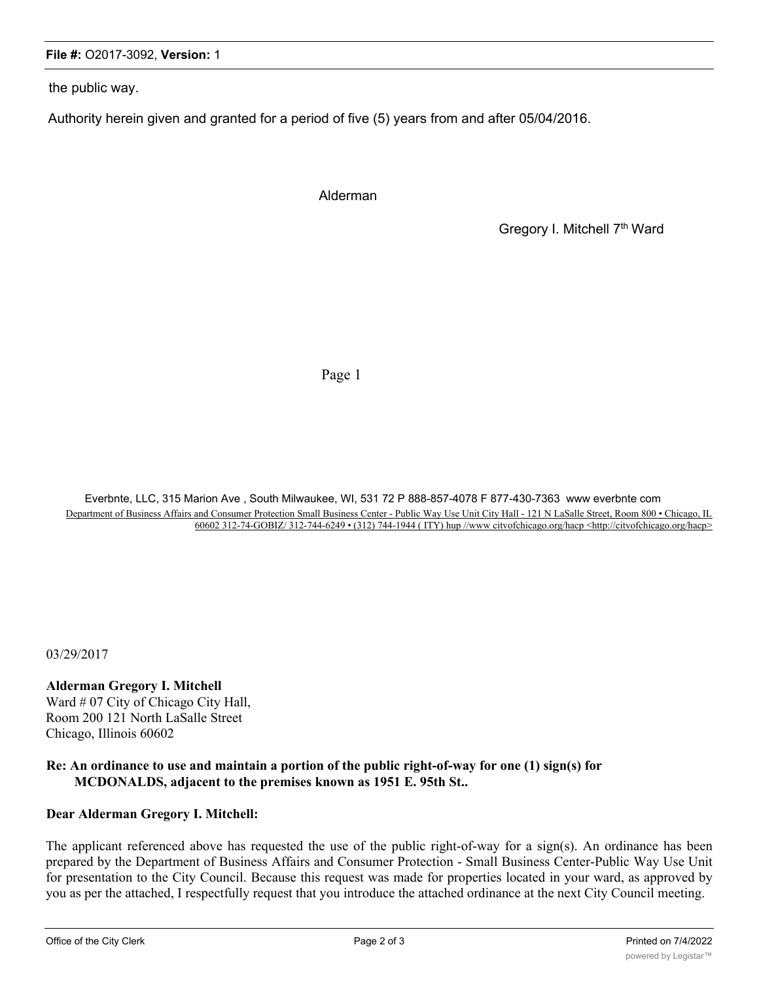#### **File #:** O2017-3092, **Version:** 1

the public way.

Authority herein given and granted for a period of five (5) years from and after 05/04/2016.

Alderman

Gregory I. Mitchell 7<sup>th</sup> Ward

Page 1

Everbnte, LLC, 315 Marion Ave , South Milwaukee, WI, 531 72 P 888-857-4078 F 877-430-7363 www everbnte com Department of Business Affairs and Consumer Protection Small Business Center - Public Way Use Unit City Hall - 121 N LaSalle Street, Room 800 • Chicago, IL 60602 312-74-GOBIZ/ 312-744-6249 • (312) 744-1944 ( ITY) hup //www citvofchicago.org/hacp <http://citvofchicago.org/hacp>

03/29/2017

**Alderman Gregory I. Mitchell** Ward # 07 City of Chicago City Hall, Room 200 121 North LaSalle Street Chicago, Illinois 60602

### **Re: An ordinance to use and maintain a portion of the public right-of-way for one (1) sign(s) for MCDONALDS, adjacent to the premises known as 1951 E. 95th St..**

## **Dear Alderman Gregory I. Mitchell:**

The applicant referenced above has requested the use of the public right-of-way for a sign(s). An ordinance has been prepared by the Department of Business Affairs and Consumer Protection - Small Business Center-Public Way Use Unit for presentation to the City Council. Because this request was made for properties located in your ward, as approved by you as per the attached, I respectfully request that you introduce the attached ordinance at the next City Council meeting.